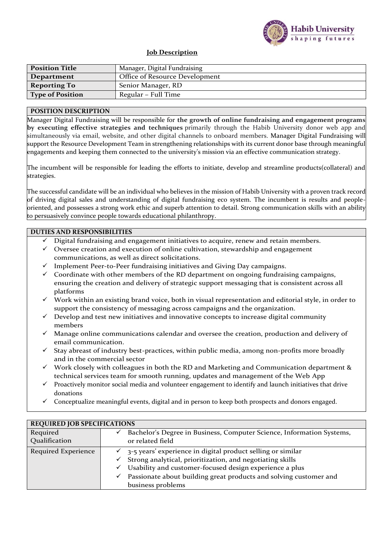

## **Job Description**

| <b>Position Title</b>   | Manager, Digital Fundraising   |
|-------------------------|--------------------------------|
| Department              | Office of Resource Development |
| <b>Reporting To</b>     | Senior Manager, RD             |
| <b>Type of Position</b> | Regular – Full Time            |

## **POSITION DESCRIPTION**

Manager Digital Fundraising will be responsible for **the growth of online fundraising and engagement programs by executing effective strategies and techniques** primarily through the Habib University donor web app and simultaneously via email, website, and other digital channels to onboard members. Manager Digital Fundraising will support the Resource Development Team in strengthening relationships with its current donor base through meaningful engagements and keeping them connected to the university's mission via an effective communication strategy.

The incumbent will be responsible for leading the efforts to initiate, develop and streamline products(collateral) and strategies.

The successful candidate will be an individual who believes in the mission of Habib University with a proven track record of driving digital sales and understanding of digital fundraising eco system. The incumbent is results and peopleoriented, and possesses a strong work ethic and superb attention to detail. Strong communication skills with an ability to persuasively convince people towards educational philanthropy.

## **DUTIES AND RESPONSIBILITIES**

- $\checkmark$  Digital fundraising and engagement initiatives to acquire, renew and retain members.
- ✓ Oversee creation and execution of online cultivation, stewardship and engagement communications, as well as direct solicitations.
- ✓ Implement Peer-to-Peer fundraising initiatives and Giving Day campaigns.
- $\checkmark$  Coordinate with other members of the RD department on ongoing fundraising campaigns, ensuring the creation and delivery of strategic support messaging that is consistent across all platforms
- $\checkmark$  Work within an existing brand voice, both in visual representation and editorial style, in order to support the consistency of messaging across campaigns and the organization.
- Develop and test new initiatives and innovative concepts to increase digital community members
- ✓ Manage online communications calendar and oversee the creation, production and delivery of email communication.
- $\checkmark$  Stay abreast of industry best-practices, within public media, among non-profits more broadly and in the commercial sector
- $\checkmark$  Work closely with colleagues in both the RD and Marketing and Communication department & technical services team for smooth running, updates and management of the Web App
- $\checkmark$  Proactively monitor social media and volunteer engagement to identify and launch initiatives that drive donations
- Conceptualize meaningful events, digital and in person to keep both prospects and donors engaged.

| <b>REQUIRED JOB SPECIFICATIONS</b> |                                                                        |  |  |
|------------------------------------|------------------------------------------------------------------------|--|--|
| Required                           | Bachelor's Degree in Business, Computer Science, Information Systems,  |  |  |
| Qualification                      | or related field                                                       |  |  |
| Required Experience                | 3-5 years' experience in digital product selling or similar            |  |  |
|                                    | Strong analytical, prioritization, and negotiating skills              |  |  |
|                                    | Usability and customer-focused design experience a plus<br>✓           |  |  |
|                                    | Passionate about building great products and solving customer and<br>✓ |  |  |
|                                    | business problems                                                      |  |  |